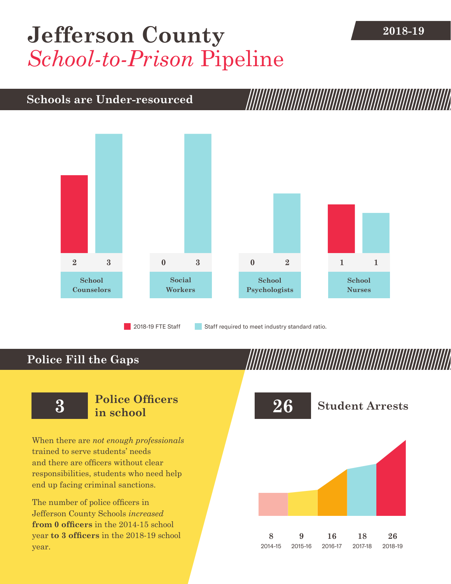## **2018-19 [Jefferson County](DBF_County)** *School-to-Prison* Pipeline

## **Schools are Under-resourced**



2018-19 FTE Staff **Staff required to meet industry standard ratio.** 

## **Police Fill the Gaps**

When there are *not enough professionals* trained to serve students' needs and there are officers without clear responsibilities, students who need help end up facing criminal sanctions.

The number of police officers in [Jefferson County](DBF_County) Schools *increased* **from [0](DBF_PO1415) officers** in the 2014-15 school year **to [3](DBF_PO) officers** in the 2018-19 school year.